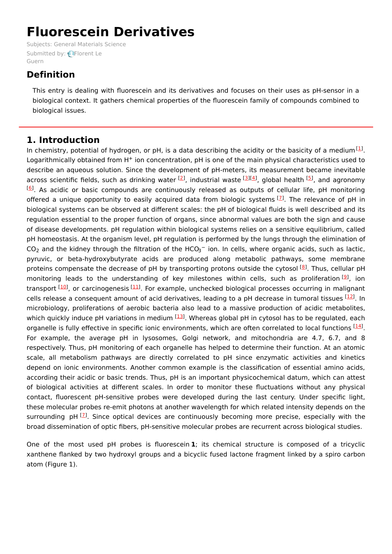# **Fluorescein Derivatives**

Subjects: General [Materials](https://encyclopedia.pub/item/subject/35) Science [Submitted](https://sciprofiles.com/profile/1326903) by: **PFlorent Le** Guern

# **Definition**

This entry is dealing with fluorescein and its derivatives and focuses on their uses as pH-sensor in a biological context. It gathers chemical properties of the fluorescein family of compounds combined to biological issues.

# **1. Introduction**

In chemistry, potential of hydrogen, or pH, is a data describing the acidity or the basicity of a medium  $^{[1]}$  $^{[1]}$  $^{[1]}$ . Logarithmically obtained from  $H^+$  ion concentration, pH is one of the main physical characteristics used to describe an aqueous solution. Since the development of pH-meters, its measurement became inevitable across scientific fields, such as drinking water <sup>[\[2](#page-4-1)]</sup>, industrial waste <sup>[\[3](#page-4-2)][\[4](#page-4-3)]</sup>, global health <sup>[\[5](#page-4-4)]</sup>, and agronomy <sup>[[6](#page-4-5)]</sup>. As acidic or basic compounds are continuously released as outputs of cellular life, pH monitoring offered a unique opportunity to easily acquired data from biologic systems  $^{[7]}$  $^{[7]}$  $^{[7]}$ . The relevance of pH in biological systems can be observed at different scales: the pH of biological fluids is well described and its regulation essential to the proper function of organs, since abnormal values are both the sign and cause of disease developments. pH regulation within biological systems relies on a sensitive equilibrium, called pH homeostasis. At the organism level, pH regulation is performed by the lungs through the elimination of  $CO<sub>2</sub>$  and the kidney through the filtration of the HCO<sub>3</sub><sup>-</sup> ion. In cells, where organic acids, such as lactic, pyruvic, or beta-hydroxybutyrate acids are produced along metabolic pathways, some membrane proteins compensate the decrease of pH by transporting protons outside the cytosol <sup>[\[8](#page-4-7)]</sup>. Thus, cellular pH monitoring leads to the understanding of key milestones within cells, such as proliferation <sup>[\[9](#page-4-8)]</sup>, ion transport [[10](#page-4-9)], or carcinogenesis [\[11](#page-4-10)]. For example, unchecked biological processes occurring in malignant cells release a consequent amount of acid derivatives, leading to a pH decrease in tumoral tissues [\[12\]](#page-4-11). In microbiology, proliferations of aerobic bacteria also lead to a massive production of acidic metabolites, which quickly induce pH variations in medium [\[13\]](#page-4-12). Whereas global pH in cytosol has to be regulated, each organelle is fully effective in specific ionic environments, which are often correlated to local functions [\[14](#page-5-0)]. For example, the average pH in lysosomes, Golgi network, and mitochondria are 4.7, 6.7, and 8 respectively. Thus, pH monitoring of each organelle has helped to determine their function. At an atomic scale, all metabolism pathways are directly correlated to pH since enzymatic activities and kinetics depend on ionic environments. Another common example is the classification of essential amino acids, according their acidic or basic trends. Thus, pH is an important physicochemical datum, which can attest of biological activities at different scales. In order to monitor these fluctuations without any physical contact, fluorescent pH-sensitive probes were developed during the last century. Under specific light, these molecular probes re-emit photons at another wavelength for which related intensity depends on the surrounding pH <sup>[\[7](#page-4-6)]</sup>. Since optical devices are continuously becoming more precise, especially with the broad dissemination of optic fibers, pH-sensitive molecular probes are recurrent across biological studies.

One of the most used pH probes is fluorescein **1**; its chemical structure is composed of a tricyclic xanthene flanked by two hydroxyl groups and a bicyclic fused lactone fragment linked by a spiro carbon atom (Figure 1).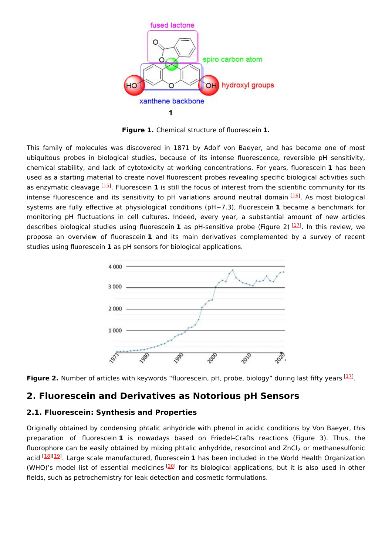

**Figure 1.** Chemical structure of fluorescein **1.**

This family of molecules was discovered in 1871 by Adolf von Baeyer, and has become one of most ubiquitous probes in biological studies, because of its intense fluorescence, reversible pH sensitivity, chemical stability, and lack of cytotoxicity at working concentrations. For years, fluorescein **1** has been used as a starting material to create novel fluorescent probes revealing specific biological activities such as enzymatic cleavage [[15\]](#page-5-1). Fluorescein 1 is still the focus of interest from the scientific community for its intense fluorescence and its sensitivity to pH variations around neutral domain [\[16](#page-5-2)]. As most biological systems are fully effective at physiological conditions (pH~7.3), fluorescein **1** became a benchmark for monitoring pH fluctuations in cell cultures. Indeed, every year, a substantial amount of new articles describes biological studies using fluorescein **1** as pH-sensitive probe (Figure 2) <sup>[<u>[17](#page-5-3)</u>]</sup>. In this review, we propose an overview of fluorescein **1** and its main derivatives complemented by a survey of recent studies using fluorescein **1** as pH sensors for biological applications.





## **2. Fluorescein and Derivatives as Notorious pH Sensors**

## **2.1. Fluorescein: Synthesis and Properties**

Originally obtained by condensing phtalic anhydride with phenol in acidic conditions by Von Baeyer, this preparation of fluorescein **1** is nowadays based on Friedel–Crafts reactions (Figure 3). Thus, the fluorophore can be easily obtained by mixing phtalic anhydride, resorcinol and ZnCl<sub>2</sub> or methanesulfonic acid <sup>[[18\]](#page-5-4)[[19\]](#page-5-5)</sup>. Large scale manufactured, fluorescein **1** has been included in the World Health Organization (WHO)'s model list of essential medicines  $[20]$  $[20]$  for its biological applications, but it is also used in other fields, such as petrochemistry for leak detection and cosmetic formulations.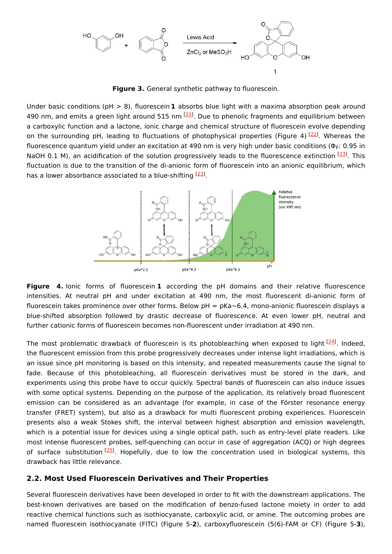

**Figure 3.** General synthetic pathway to fluorescein.

Under basic conditions (pH > 8), fluorescein **1** absorbs blue light with a maxima absorption peak around 490 nm, and emits a green light around 515 nm  $^{[21]}$  $^{[21]}$  $^{[21]}$ . Due to phenolic fragments and equilibrium between a carboxylic function and a lactone, ionic charge and chemical structure of fluorescein evolve depending on the surrounding pH, leading to fluctuations of photophysical properties (Figure 4) <sup>[\[22](#page-5-8)]</sup>. Whereas the fluorescence quantum yield under an excitation at 490 nm is very high under basic conditions (Φ<sub>F</sub>: 0.95 in NaOH 0.1 M), an acidification of the solution progressively leads to the fluorescence extinction [\[23](#page-5-9)]. This fluctuation is due to the transition of the di-anionic form of fluorescein into an anionic equilibrium, which has a lower absorbance associated to a blue-shifting [\[23](#page-5-9)].



**Figure 4.** Ionic forms of fluorescein **1** according the pH domains and their relative fluorescence intensities. At neutral pH and under excitation at 490 nm, the most fluorescent di-anionic form of fluorescein takes prominence over other forms. Below pH = pKa~6.4, mono-anionic fluorescein displays a blue-shifted absorption followed by drastic decrease of fluorescence. At even lower pH, neutral and further cationic forms of fluorescein becomes non-fluorescent under irradiation at 490 nm.

The most problematic drawback of fluorescein is its photobleaching when exposed to light  $^{[24]}$  $^{[24]}$  $^{[24]}$ . Indeed, the fluorescent emission from this probe progressively decreases under intense light irradiations, which is an issue since pH monitoring is based on this intensity, and repeated measurements cause the signal to fade. Because of this photobleaching, all fluorescein derivatives must be stored in the dark, and experiments using this probe have to occur quickly. Spectral bands of fluorescein can also induce issues with some optical systems. Depending on the purpose of the application, its relatively broad fluorescent emission can be considered as an advantage (for example, in case of the Förster resonance energy transfer (FRET) system), but also as a drawback for multi fluorescent probing experiences. Fluorescein presents also a weak Stokes shift, the interval between highest absorption and emission wavelength, which is a potential issue for devices using a single optical path, such as entry-level plate readers. Like most intense fluorescent probes, self-quenching can occur in case of aggregation (ACQ) or high degrees of surface substitution<sup>[\[25](#page-5-11)]</sup>. Hopefully, due to low the concentration used in biological systems, this drawback has little relevance.

## **2.2. Most Used Fluorescein Derivatives and Their Properties**

Several fluorescein derivatives have been developed in order to fit with the downstream applications. The best-known derivatives are based on the modification of benzo-fused lactone moiety in order to add reactive chemical functions such as isothiocyanate, carboxylic acid, or amine. The outcoming probes are named fluorescein isothiocyanate (FITC) (Figure 5-**2**), carboxyfluorescein (5(6)-FAM or CF) (Figure 5-**3**),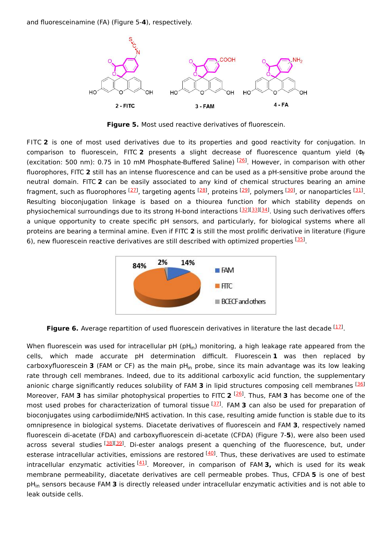and fluoresceinamine (FA) (Figure 5-**4**), respectively.



**Figure 5.** Most used reactive derivatives of fluorescein.

FITC **2** is one of most used derivatives due to its properties and good reactivity for conjugation. In comparison to fluorescein, FITC **2** presents a slight decrease of fluorescence quantum yield (Φ F (excitation: 500 nm): 0.75 in 10 mM Phosphate-Buffered Saline) <sup>[\[26](#page-5-12)]</sup>. However, in comparison with other fluorophores, FITC **2** still has an intense fluorescence and can be used as a pH-sensitive probe around the neutral domain. FITC **2** can be easily associated to any kind of chemical structures bearing an amine fragment, such as fluorophores <sup>[\[27](#page-5-13)]</sup>, targeting agents <sup>[\[28](#page-5-14)]</sup>, proteins <sup>[[29\]](#page-5-15)</sup>, polymers <sup>[[30](#page-5-16)]</sup>, or nanoparticles <sup>[\[31](#page-5-17)]</sup>. Resulting bioconjugation linkage is based on a thiourea function for which stability depends on physiochemical surroundings due to its strong H-bond interactions [[32\]](#page-5-18)[[33](#page-5-19)][[34](#page-5-20)]. Using such derivatives offers a unique opportunity to create specific pH sensors, and particularly, for biological systems where all proteins are bearing a terminal amine. Even if FITC **2** is still the most prolific derivative in literature (Figure 6), new fluorescein reactive derivatives are still described with optimized properties [[35](#page-5-21)].



**Figure 6.** Average repartition of used fluorescein derivatives in literature the last decade <sup>[\[17\]](#page-5-3)</sup>.

When fluorescein was used for intracellular pH (pH $_{\sf in}$ ) monitoring, a high leakage rate appeared from the cells, which made accurate pH determination difficult. Fluorescein **1** was then replaced by carboxyfluorescein **3** (FAM or CF) as the main pH<sub>in</sub> probe, since its main advantage was its low leaking rate through cell membranes. Indeed, due to its additional carboxylic acid function, the supplementary anionic charge significantly reduces solubility of FAM **3** in lipid structures composing cell membranes [\[36](#page-5-22)] Moreover, FAM 3 has similar photophysical properties to FITC 2<sup>[[26\]](#page-5-12)</sup>. Thus, FAM 3 has become one of the most used probes for characterization of tumoral tissue [\[37](#page-5-23)]. FAM 3 can also be used for preparation of bioconjugates using carbodiimide/NHS activation. In this case, resulting amide function is stable due to its omnipresence in biological systems. Diacetate derivatives of fluorescein and FAM **3**, respectively named fluorescein di-acetate (FDA) and carboxyfluorescein di-acetate (CFDA) (Figure 7-**5**), were also been used across several studies <sup>[\[38](#page-5-24)][[39](#page-5-25)]</sup>. Di-ester analogs present a quenching of the fluorescence, but, under esterase intracellular activities, emissions are restored <sup>[\[40](#page-6-0)]</sup>. Thus, these derivatives are used to estimate intracellular enzymatic activities<sup>[[41\]](#page-6-1)</sup>. Moreover, in comparison of FAM **3,** which is used for its weak membrane permeability, diacetate derivatives are cell permeable probes. Thus, CFDA **5** is one of best pH<sub>in</sub> sensors because FAM **3** is directly released under intracellular enzymatic activities and is not able to leak outside cells.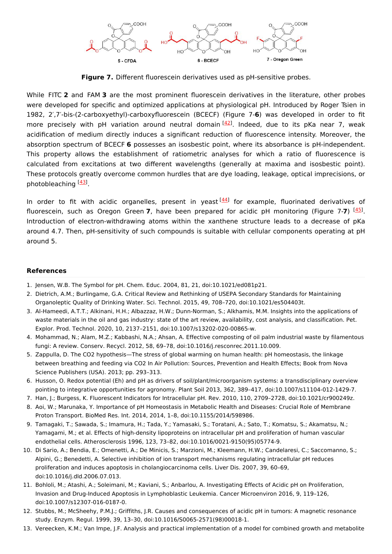

**Figure 7.** Different fluorescein derivatives used as pH-sensitive probes.

While FITC **2** and FAM **3** are the most prominent fluorescein derivatives in the literature, other probes were developed for specific and optimized applications at physiological pH. Introduced by Roger Tsien in 1982, 2′,7′-bis-(2-carboxyethyl)-carboxyfluorescein (BCECF) (Figure 7-**6**) was developed in order to fit more precisely with pH variation around neutral domain <sup>[\[42\]](#page-6-2)</sup>. Indeed, due to its pKa near 7, weak acidification of medium directly induces a significant reduction of fluorescence intensity. Moreover, the absorption spectrum of BCECF **6** possesses an isosbestic point, where its absorbance is pH-independent. This property allows the establishment of ratiometric analyses for which a ratio of fluorescence is calculated from excitations at two different wavelengths (generally at maxima and isosbestic point). These protocols greatly overcome common hurdles that are dye loading, leakage, optical imprecisions, or photobleaching [[43\]](#page-6-3).

In order to fit with acidic organelles, present in yeast<sup>[\[44](#page-6-4)]</sup> for example, fluorinated derivatives of fluorescein, such as Oregon Green 7, have been prepared for acidic pH monitoring (Figure 7-7) <sup>[\[45](#page-6-5)]</sup>. Introduction of electron-withdrawing atoms within the xanthene structure leads to a decrease of pKa around 4.7. Then, pH-sensitivity of such compounds is suitable with cellular components operating at pH around 5.

### **References**

- <span id="page-4-0"></span>1. Jensen, W.B. The Symbol for pH. Chem. Educ. 2004, 81, 21, doi:10.1021/ed081p21.
- <span id="page-4-1"></span>2. Dietrich, A.M.; Burlingame, G.A. Critical Review and Rethinking of USEPA Secondary Standards for Maintaining Organoleptic Quality of Drinking Water. Sci. Technol. 2015, 49, 708–720, doi:10.1021/es504403t.
- <span id="page-4-2"></span>3. Al-Hameedi, A.T.T.; Alkinani, H.H.; Albazzaz, H.W.; Dunn-Norman, S.; Alkhamis, M.M. Insights into the applications of waste materials in the oil and gas industry: state of the art review, availability, cost analysis, and classification. Pet. Explor. Prod. Technol. 2020, 10, 2137–2151, doi:10.1007/s13202-020-00865-w.
- <span id="page-4-3"></span>4. Mohammad, N.; Alam, M.Z.; Kabbashi, N.A.; Ahsan, A. Effective composting of oil palm industrial waste by filamentous fungi: A review. Conserv. Recycl. 2012, 58, 69–78, doi:10.1016/j.resconrec.2011.10.009.
- <span id="page-4-4"></span>5. Zappulla, D. The CO2 hypothesis—The stress of global warming on human health: pH homeostasis, the linkage between breathing and feeding via CO2 In Air Pollution: Sources, Prevention and Health Effects; Book from Nova Science Publishers (USA). 2013; pp. 293–313.
- <span id="page-4-5"></span>6. Husson, O. Redox potential (Eh) and pH as drivers of soil/plant/microorganism systems: a transdisciplinary overview pointing to integrative opportunities for agronomy. Plant Soil 2013, 362, 389–417, doi:10.1007/s11104-012-1429-7.
- <span id="page-4-6"></span>7. Han, J.; Burgess, K. Fluorescent Indicators for Intracellular pH. Rev. 2010, 110, 2709–2728, doi:10.1021/cr900249z.
- <span id="page-4-7"></span>8. Aoi, W.; Marunaka, Y. Importance of pH Homeostasis in Metabolic Health and Diseases: Crucial Role of Membrane Proton Transport. BioMed Res. Int. 2014, 2014, 1–8, doi:10.1155/2014/598986.
- <span id="page-4-8"></span>9. Tamagaki, T.; Sawada, S.; Imamura, H.; Tada, Y.; Yamasaki, S.; Toratani, A.; Sato, T.; Komatsu, S.; Akamatsu, N.; Yamagami, M.; et al. Effects of high-density lipoproteins on intracellular pH and proliferation of human vascular endothelial cells. Atherosclerosis 1996, 123, 73–82, doi:10.1016/0021-9150(95)05774-9.
- <span id="page-4-9"></span>10. Di Sario, A.; Bendia, E.; Omenetti, A.; De Minicis, S.; Marzioni, M.; Kleemann, H.W.; Candelaresi, C.; Saccomanno, S.; Alpini, G.; Benedetti, A. Selective inhibition of ion transport mechanisms regulating intracellular pH reduces proliferation and induces apoptosis in cholangiocarcinoma cells. Liver Dis. 2007, 39, 60–69, doi:10.1016/j.dld.2006.07.013.
- <span id="page-4-10"></span>11. Bohloli, M.; Atashi, A.; Soleimani, M.; Kaviani, S.; Anbarlou, A. Investigating Effects of Acidic pH on Proliferation, Invasion and Drug-Induced Apoptosis in Lymphoblastic Leukemia. Cancer Microenviron 2016, 9, 119–126, doi:10.1007/s12307-016-0187-0.
- <span id="page-4-11"></span>12. Stubbs, M.; McSheehy, P.M.J.; Griffiths, J.R. Causes and consequences of acidic pH in tumors: A magnetic resonance study. Enzym. Regul. 1999, 39, 13–30, doi:10.1016/S0065-2571(98)00018-1.
- <span id="page-4-12"></span>13. Vereecken, K.M.; Van Impe, J.F. Analysis and practical implementation of a model for combined growth and metabolite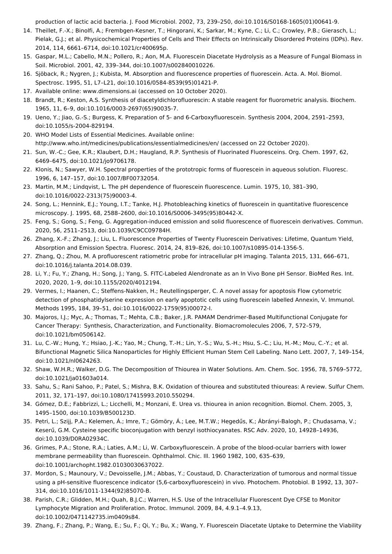<span id="page-5-0"></span>production of lactic acid bacteria. J. Food Microbiol. 2002, 73, 239–250, doi:10.1016/S0168-1605(01)00641-9.

- 14. Theillet, F.-X.; Binolfi, A.; Frembgen-Kesner, T.; Hingorani, K.; Sarkar, M.; Kyne, C.; Li, C.; Crowley, P.B.; Gierasch, L.; Pielak, G.J.; et al. Physicochemical Properties of Cells and Their Effects on Intrinsically Disordered Proteins (IDPs). Rev. 2014, 114, 6661–6714, doi:10.1021/cr400695p.
- <span id="page-5-1"></span>15. Gaspar, M.L.; Cabello, M.N.; Pollero, R.; Aon, M.A. Fluorescein Diacetate Hydrolysis as a Measure of Fungal Biomass in Soil. Microbiol. 2001, 42, 339–344, doi:10.1007/s002840010226.
- <span id="page-5-2"></span>16. Sjöback, R.; Nygren, J.; Kubista, M. Absorption and fluorescence properties of fluorescein. Acta. A. Mol. Biomol. Spectrosc. 1995, 51, L7–L21, doi:10.1016/0584-8539(95)01421-P.
- <span id="page-5-3"></span>17. Available online: www.dimensions.ai (accessed on 10 October 2020).
- <span id="page-5-4"></span>18. Brandt, R.; Keston, A.S. Synthesis of diacetyldichlorofluorescin: A stable reagent for fluorometric analysis. Biochem. 1965, 11, 6–9, doi:10.1016/0003-2697(65)90035-7.
- <span id="page-5-5"></span>19. Ueno, Y.; Jiao, G.-S.; Burgess, K. Preparation of 5- and 6-Carboxyfluorescein. Synthesis 2004, 2004, 2591–2593, doi:10.1055/s-2004-829194.
- <span id="page-5-6"></span>20. WHO Model Lists of Essential Medicines. Available online: http://www.who.int/medicines/publications/essentialmedicines/en/ (accessed on 22 October 2020).
- <span id="page-5-7"></span>21. Sun, W.-C.; Gee, K.R.; Klaubert, D.H.; Haugland, R.P. Synthesis of Fluorinated Fluoresceins. Org. Chem. 1997, 62, 6469–6475, doi:10.1021/jo9706178.
- <span id="page-5-8"></span>22. Klonis, N.; Sawyer, W.H. Spectral properties of the prototropic forms of fluorescein in aqueous solution. Fluoresc. 1996, 6, 147–157, doi:10.1007/BF00732054.
- <span id="page-5-9"></span>23. Martin, M.M.; Lindqvist, L. The pH dependence of fluorescein fluorescence. Lumin. 1975, 10, 381–390, doi:10.1016/0022-2313(75)90003-4.
- <span id="page-5-10"></span>24. Song, L.; Hennink, E.J.; Young, I.T.; Tanke, H.J. Photobleaching kinetics of fluorescein in quantitative fluorescence microscopy. J. 1995, 68, 2588–2600, doi:10.1016/S0006-3495(95)80442-X.
- <span id="page-5-11"></span>25. Feng, S.; Gong, S.; Feng, G. Aggregation-induced emission and solid fluorescence of fluorescein derivatives. Commun. 2020, 56, 2511–2513, doi:10.1039/C9CC09784H.
- <span id="page-5-12"></span>26. Zhang, X.-F.; Zhang, J.; Liu, L. Fluorescence Properties of Twenty Fluorescein Derivatives: Lifetime, Quantum Yield, Absorption and Emission Spectra. Fluoresc. 2014, 24, 819–826, doi:10.1007/s10895-014-1356-5.
- <span id="page-5-13"></span>27. Zhang, Q.; Zhou, M. A profluorescent ratiometric probe for intracellular pH imaging. Talanta 2015, 131, 666–671, doi:10.1016/j.talanta.2014.08.039.
- <span id="page-5-14"></span>28. Li, Y.; Fu, Y.; Zhang, H.; Song, J.; Yang, S. FITC-Labeled Alendronate as an In Vivo Bone pH Sensor. BioMed Res. Int. 2020, 2020, 1–9, doi:10.1155/2020/4012194.
- <span id="page-5-15"></span>29. Vermes, I.; Haanen, C.; Steffens-Nakken, H.; Reutellingsperger, C. A novel assay for apoptosis Flow cytometric detection of phosphatidylserine expression on early apoptotic cells using fluorescein labelled Annexin, V. Immunol. Methods 1995, 184, 39–51, doi:10.1016/0022-1759(95)00072-I.
- <span id="page-5-16"></span>30. Majoros, I.J.; Myc, A.; Thomas, T.; Mehta, C.B.; Baker, J.R. PAMAM Dendrimer-Based Multifunctional Conjugate for Cancer Therapy: Synthesis, Characterization, and Functionality. Biomacromolecules 2006, 7, 572–579, doi:10.1021/bm0506142.
- <span id="page-5-17"></span>31. Lu, C.-W.; Hung, Y.; Hsiao, J.-K.; Yao, M.; Chung, T.-H.; Lin, Y.-S.; Wu, S.-H.; Hsu, S.-C.; Liu, H.-M.; Mou, C.-Y.; et al. Bifunctional Magnetic Silica Nanoparticles for Highly Efficient Human Stem Cell Labeling. Nano Lett. 2007, 7, 149–154, doi:10.1021/nl0624263.
- <span id="page-5-18"></span>32. Shaw, W.H.R.; Walker, D.G. The Decomposition of Thiourea in Water Solutions. Am. Chem. Soc. 1956, 78, 5769–5772, doi:10.1021/ja01603a014.
- <span id="page-5-19"></span>33. Sahu, S.; Rani Sahoo, P.; Patel, S.; Mishra, B.K. Oxidation of thiourea and substituted thioureas: A review. Sulfur Chem. 2011, 32, 171–197, doi:10.1080/17415993.2010.550294.
- <span id="page-5-20"></span>34. Gómez, D.E.; Fabbrizzi, L.; Licchelli, M.; Monzani, E. Urea vs. thiourea in anion recognition. Biomol. Chem. 2005, 3, 1495–1500, doi:10.1039/B500123D.
- <span id="page-5-21"></span>35. Petri, L.; Szijj, P.A.; Kelemen, Á.; Imre, T.; Gömöry, Á.; Lee, M.T.W.; Hegedűs, K.; Ábrányi-Balogh, P.; Chudasama, V.; Keserű, G.M. Cysteine specific bioconjugation with benzyl isothiocyanates. RSC Adv. 2020, 10, 14928–14936, doi:10.1039/D0RA02934C.
- <span id="page-5-22"></span>36. Grimes, P.A.; Stone, R.A.; Laties, A.M.; Li, W. Carboxyfluorescein. A probe of the blood-ocular barriers with lower membrane permeability than fluorescein. Ophthalmol. Chic. Ill. 1960 1982, 100, 635–639, doi:10.1001/archopht.1982.01030030637022.
- <span id="page-5-23"></span>37. Mordon, S.; Maunoury, V.; Devoisselle, J.M.; Abbas, Y.; Coustaud, D. Characterization of tumorous and normal tissue using a pH-sensitive fluorescence indicator (5,6-carboxyfluorescein) in vivo. Photochem. Photobiol. B 1992, 13, 307– 314, doi:10.1016/1011-1344(92)85070-B.
- <span id="page-5-24"></span>38. Parish, C.R.; Glidden, M.H.; Quah, B.J.C.; Warren, H.S. Use of the Intracellular Fluorescent Dye CFSE to Monitor Lymphocyte Migration and Proliferation. Protoc. Immunol. 2009, 84, 4.9.1–4.9.13, doi:10.1002/0471142735.im0409s84.
- <span id="page-5-25"></span>39. Zhang, F.; Zhang, P.; Wang, E.; Su, F.; Qi, Y.; Bu, X.; Wang, Y. Fluorescein Diacetate Uptake to Determine the Viability